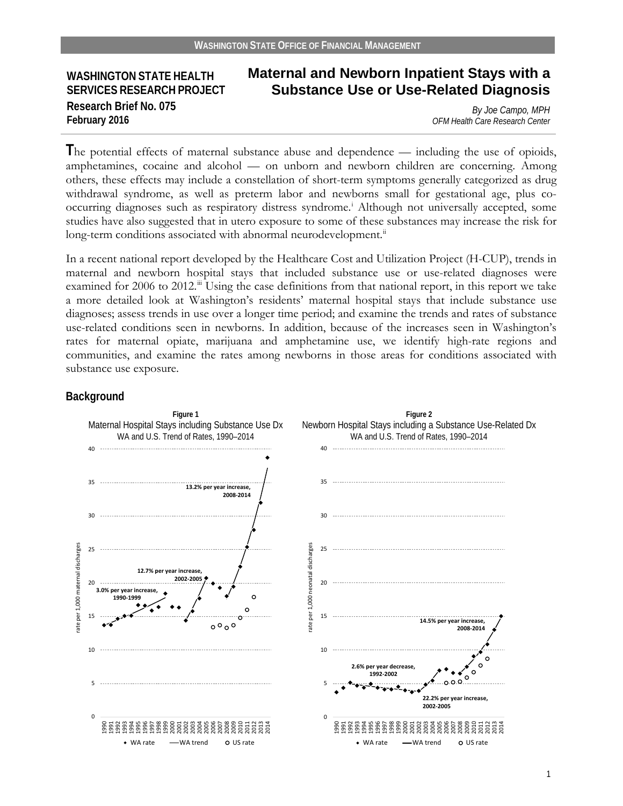## **WASHINGTON STATE HEALTH SERVICES RESEARCH PROJECT Research Brief No. 075 February 2016**

# **Maternal and Newborn Inpatient Stays with a Substance Use or Use-Related Diagnosis**

*By Joe Campo, MPH OFM Health Care Research Center*

**T**he potential effects of maternal substance abuse and dependence — including the use of opioids, amphetamines, cocaine and alcohol — on unborn and newborn children are concerning. Among others, these effects may include a constellation of short-term symptoms generally categorized as drug withdrawal syndrome, as well as preterm labor and newborns small for gestational age, plus cooccurring diagnoses such as respiratory distress syndrome. [i](#page-17-0) Although not universally accepted, some studies have also suggested that in utero exposure to some of these substances may increase the risk for long-term conditions associated with abnormal neurodevelopment.<sup>[ii](#page-17-1)</sup>

In a recent national report developed by the Healthcare Cost and Utilization Project (H-CUP), trends in maternal and newborn hospital stays that included substance use or use-related diagnoses were examined for 2006 to 2012.<sup>[iii](#page-17-2)</sup> Using the case definitions from that national report, in this report we take a more detailed look at Washington's residents' maternal hospital stays that include substance use diagnoses; assess trends in use over a longer time period; and examine the trends and rates of substance use-related conditions seen in newborns. In addition, because of the increases seen in Washington's rates for maternal opiate, marijuana and amphetamine use, we identify high-rate regions and communities, and examine the rates among newborns in those areas for conditions associated with substance use exposure.

#### **Background**

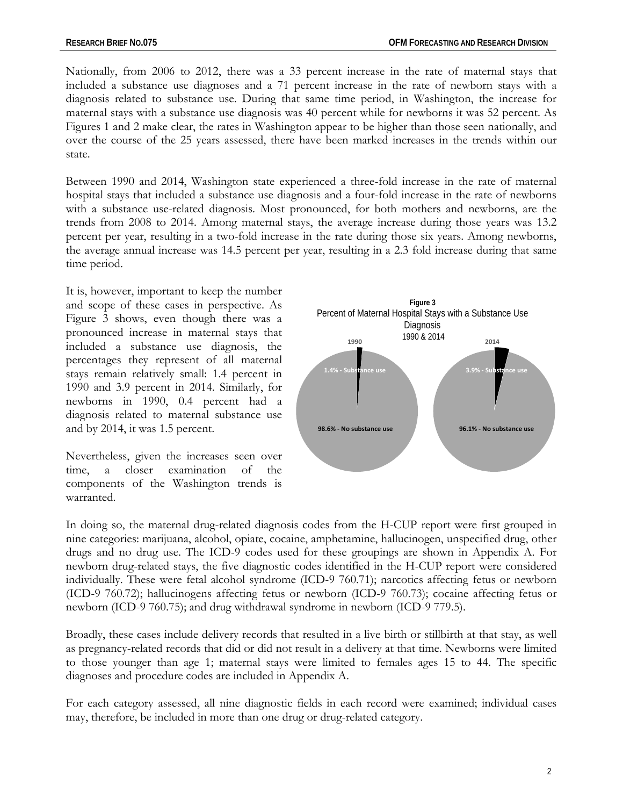Nationally, from 2006 to 2012, there was a 33 percent increase in the rate of maternal stays that included a substance use diagnoses and a 71 percent increase in the rate of newborn stays with a diagnosis related to substance use. During that same time period, in Washington, the increase for maternal stays with a substance use diagnosis was 40 percent while for newborns it was 52 percent. As Figures 1 and 2 make clear, the rates in Washington appear to be higher than those seen nationally, and over the course of the 25 years assessed, there have been marked increases in the trends within our state.

Between 1990 and 2014, Washington state experienced a three-fold increase in the rate of maternal hospital stays that included a substance use diagnosis and a four-fold increase in the rate of newborns with a substance use-related diagnosis. Most pronounced, for both mothers and newborns, are the trends from 2008 to 2014. Among maternal stays, the average increase during those years was 13.2 percent per year, resulting in a two-fold increase in the rate during those six years. Among newborns, the average annual increase was 14.5 percent per year, resulting in a 2.3 fold increase during that same time period.

It is, however, important to keep the number and scope of these cases in perspective. As Figure 3 shows, even though there was a pronounced increase in maternal stays that included a substance use diagnosis, the percentages they represent of all maternal stays remain relatively small: 1.4 percent in 1990 and 3.9 percent in 2014. Similarly, for newborns in 1990, 0.4 percent had a diagnosis related to maternal substance use and by 2014, it was 1.5 percent.

Nevertheless, given the increases seen over time, a closer examination of the components of the Washington trends is warranted.



In doing so, the maternal drug-related diagnosis codes from the H-CUP report were first grouped in nine categories: marijuana, alcohol, opiate, cocaine, amphetamine, hallucinogen, unspecified drug, other drugs and no drug use. The ICD-9 codes used for these groupings are shown in Appendix A. For newborn drug-related stays, the five diagnostic codes identified in the H-CUP report were considered individually. These were fetal alcohol syndrome (ICD-9 760.71); narcotics affecting fetus or newborn (ICD-9 760.72); hallucinogens affecting fetus or newborn (ICD-9 760.73); cocaine affecting fetus or newborn (ICD-9 760.75); and drug withdrawal syndrome in newborn (ICD-9 779.5).

Broadly, these cases include delivery records that resulted in a live birth or stillbirth at that stay, as well as pregnancy-related records that did or did not result in a delivery at that time. Newborns were limited to those younger than age 1; maternal stays were limited to females ages 15 to 44. The specific diagnoses and procedure codes are included in Appendix A.

For each category assessed, all nine diagnostic fields in each record were examined; individual cases may, therefore, be included in more than one drug or drug-related category.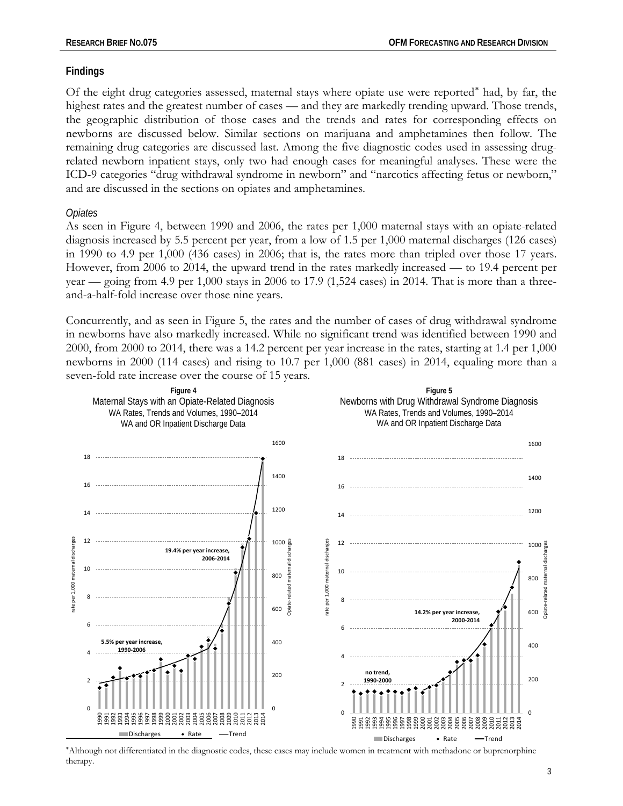## **Findings**

Of the eight drug categories assessed, maternal stays where opiate use were reported[∗](#page-2-0) had, by far, the highest rates and the greatest number of cases — and they are markedly trending upward. Those trends, the geographic distribution of those cases and the trends and rates for corresponding effects on newborns are discussed below. Similar sections on marijuana and amphetamines then follow. The remaining drug categories are discussed last. Among the five diagnostic codes used in assessing drugrelated newborn inpatient stays, only two had enough cases for meaningful analyses. These were the ICD-9 categories "drug withdrawal syndrome in newborn" and "narcotics affecting fetus or newborn," and are discussed in the sections on opiates and amphetamines.

## *Opiates*

As seen in Figure 4, between 1990 and 2006, the rates per 1,000 maternal stays with an opiate-related diagnosis increased by 5.5 percent per year, from a low of 1.5 per 1,000 maternal discharges (126 cases) in 1990 to 4.9 per 1,000 (436 cases) in 2006; that is, the rates more than tripled over those 17 years. However, from 2006 to 2014, the upward trend in the rates markedly increased — to 19.4 percent per year — going from 4.9 per 1,000 stays in 2006 to 17.9 (1,524 cases) in 2014. That is more than a threeand-a-half-fold increase over those nine years.

Concurrently, and as seen in Figure 5, the rates and the number of cases of drug withdrawal syndrome in newborns have also markedly increased. While no significant trend was identified between 1990 and 2000, from 2000 to 2014, there was a 14.2 percent per year increase in the rates, starting at 1.4 per 1,000 newborns in 2000 (114 cases) and rising to 10.7 per 1,000 (881 cases) in 2014, equaling more than a seven-fold rate increase over the course of 15 years.



<span id="page-2-0"></span>∗ Although not differentiated in the diagnostic codes, these cases may include women in treatment with methadone or buprenorphine therapy.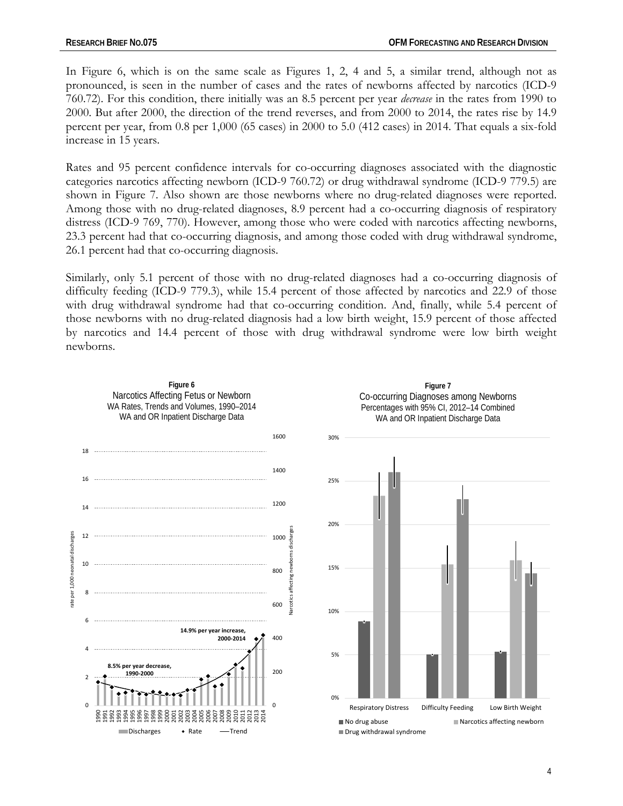In Figure 6, which is on the same scale as Figures 1, 2, 4 and 5, a similar trend, although not as pronounced, is seen in the number of cases and the rates of newborns affected by narcotics (ICD-9 760.72). For this condition, there initially was an 8.5 percent per year *decrease* in the rates from 1990 to 2000. But after 2000, the direction of the trend reverses, and from 2000 to 2014, the rates rise by 14.9 percent per year, from 0.8 per 1,000 (65 cases) in 2000 to 5.0 (412 cases) in 2014. That equals a six-fold increase in 15 years.

Rates and 95 percent confidence intervals for co-occurring diagnoses associated with the diagnostic categories narcotics affecting newborn (ICD-9 760.72) or drug withdrawal syndrome (ICD-9 779.5) are shown in Figure 7. Also shown are those newborns where no drug-related diagnoses were reported. Among those with no drug-related diagnoses, 8.9 percent had a co-occurring diagnosis of respiratory distress (ICD-9 769, 770). However, among those who were coded with narcotics affecting newborns, 23.3 percent had that co-occurring diagnosis, and among those coded with drug withdrawal syndrome, 26.1 percent had that co-occurring diagnosis.

Similarly, only 5.1 percent of those with no drug-related diagnoses had a co-occurring diagnosis of difficulty feeding (ICD-9 779.3), while 15.4 percent of those affected by narcotics and 22.9 of those with drug withdrawal syndrome had that co-occurring condition. And, finally, while 5.4 percent of those newborns with no drug-related diagnosis had a low birth weight, 15.9 percent of those affected by narcotics and 14.4 percent of those with drug withdrawal syndrome were low birth weight newborns.

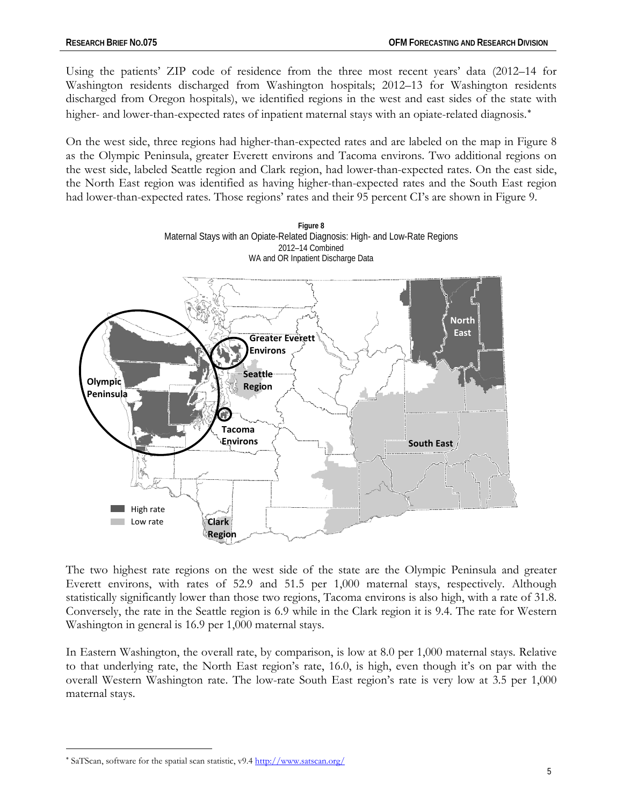Using the patients' ZIP code of residence from the three most recent years' data (2012–14 for Washington residents discharged from Washington hospitals; 2012–13 for Washington residents discharged from Oregon hospitals), we identified regions in the west and east sides of the state with higher- and lower-than-expected rates of inpatient maternal stays with an opiate-related diagnosis.\*

On the west side, three regions had higher-than-expected rates and are labeled on the map in Figure 8 as the Olympic Peninsula, greater Everett environs and Tacoma environs. Two additional regions on the west side, labeled Seattle region and Clark region, had lower-than-expected rates. On the east side, the North East region was identified as having higher-than-expected rates and the South East region had lower-than-expected rates. Those regions' rates and their 95 percent CI's are shown in Figure 9.



The two highest rate regions on the west side of the state are the Olympic Peninsula and greater Everett environs, with rates of 52.9 and 51.5 per 1,000 maternal stays, respectively. Although statistically significantly lower than those two regions, Tacoma environs is also high, with a rate of 31.8. Conversely, the rate in the Seattle region is 6.9 while in the Clark region it is 9.4. The rate for Western Washington in general is 16.9 per 1,000 maternal stays.

In Eastern Washington, the overall rate, by comparison, is low at 8.0 per 1,000 maternal stays. Relative to that underlying rate, the North East region's rate, 16.0, is high, even though it's on par with the overall Western Washington rate. The low-rate South East region's rate is very low at 3.5 per 1,000 maternal stays.

 $\overline{a}$ 

<span id="page-4-0"></span><sup>∗</sup> SaTScan, software for the spatial scan statistic, v9.4<http://www.satscan.org/>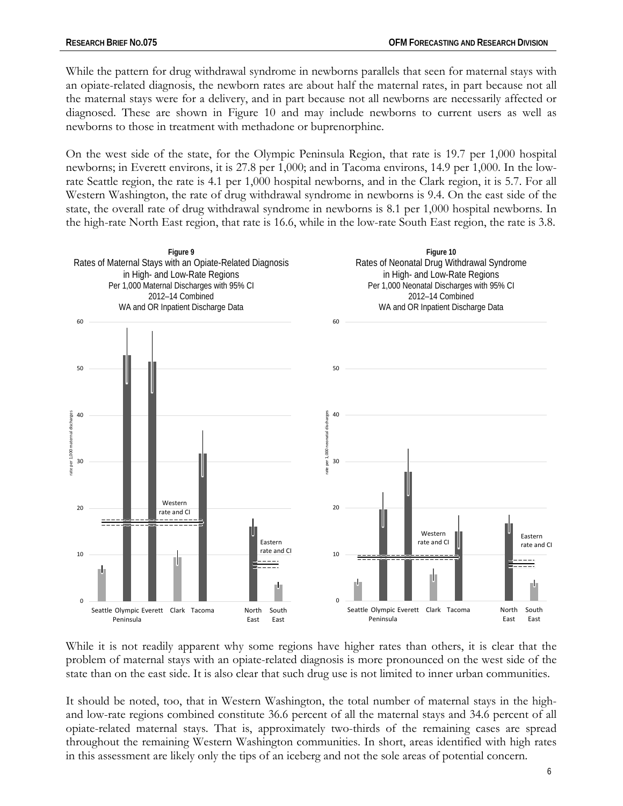While the pattern for drug withdrawal syndrome in newborns parallels that seen for maternal stays with an opiate-related diagnosis, the newborn rates are about half the maternal rates, in part because not all the maternal stays were for a delivery, and in part because not all newborns are necessarily affected or diagnosed. These are shown in Figure 10 and may include newborns to current users as well as newborns to those in treatment with methadone or buprenorphine.

On the west side of the state, for the Olympic Peninsula Region, that rate is 19.7 per 1,000 hospital newborns; in Everett environs, it is 27.8 per 1,000; and in Tacoma environs, 14.9 per 1,000. In the lowrate Seattle region, the rate is 4.1 per 1,000 hospital newborns, and in the Clark region, it is 5.7. For all Western Washington, the rate of drug withdrawal syndrome in newborns is 9.4. On the east side of the state, the overall rate of drug withdrawal syndrome in newborns is 8.1 per 1,000 hospital newborns. In the high-rate North East region, that rate is 16.6, while in the low-rate South East region, the rate is 3.8.



While it is not readily apparent why some regions have higher rates than others, it is clear that the problem of maternal stays with an opiate-related diagnosis is more pronounced on the west side of the state than on the east side. It is also clear that such drug use is not limited to inner urban communities.

It should be noted, too, that in Western Washington, the total number of maternal stays in the highand low-rate regions combined constitute 36.6 percent of all the maternal stays and 34.6 percent of all opiate-related maternal stays. That is, approximately two-thirds of the remaining cases are spread throughout the remaining Western Washington communities. In short, areas identified with high rates in this assessment are likely only the tips of an iceberg and not the sole areas of potential concern.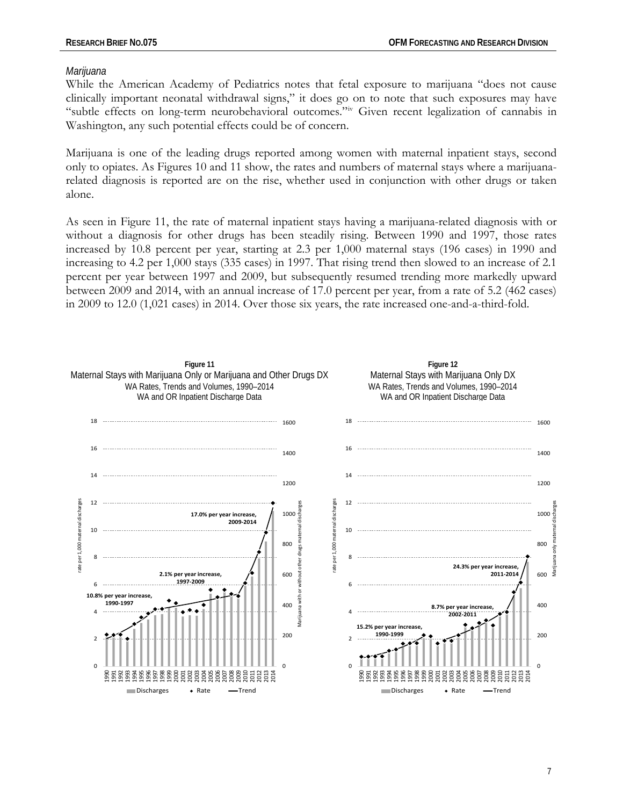#### *Marijuana*

While the American Academy of Pediatrics notes that fetal exposure to marijuana "does not cause clinically important neonatal withdrawal signs," it does go on to note that such exposures may have "subtle effects on long-term neurobehavioral outcomes."[iv](#page-17-3) Given recent legalization of cannabis in Washington, any such potential effects could be of concern.

Marijuana is one of the leading drugs reported among women with maternal inpatient stays, second only to opiates. As Figures 10 and 11 show, the rates and numbers of maternal stays where a marijuanarelated diagnosis is reported are on the rise, whether used in conjunction with other drugs or taken alone.

As seen in Figure 11, the rate of maternal inpatient stays having a marijuana-related diagnosis with or without a diagnosis for other drugs has been steadily rising. Between 1990 and 1997, those rates increased by 10.8 percent per year, starting at 2.3 per 1,000 maternal stays (196 cases) in 1990 and increasing to 4.2 per 1,000 stays (335 cases) in 1997. That rising trend then slowed to an increase of 2.1 percent per year between 1997 and 2009, but subsequently resumed trending more markedly upward between 2009 and 2014, with an annual increase of 17.0 percent per year, from a rate of 5.2 (462 cases) in 2009 to 12.0 (1,021 cases) in 2014. Over those six years, the rate increased one-and-a-third-fold.

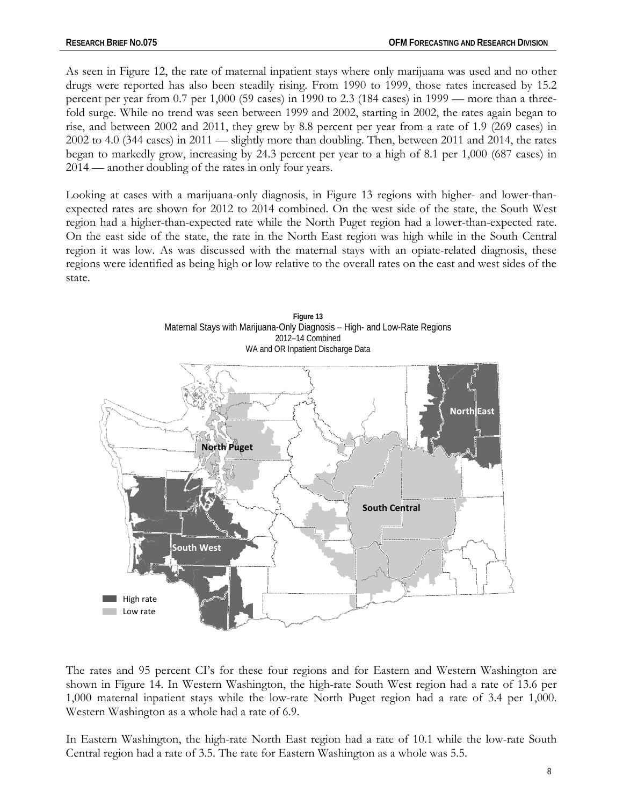As seen in Figure 12, the rate of maternal inpatient stays where only marijuana was used and no other drugs were reported has also been steadily rising. From 1990 to 1999, those rates increased by 15.2 percent per year from 0.7 per 1,000 (59 cases) in 1990 to 2.3 (184 cases) in 1999 — more than a threefold surge. While no trend was seen between 1999 and 2002, starting in 2002, the rates again began to rise, and between 2002 and 2011, they grew by 8.8 percent per year from a rate of 1.9 (269 cases) in 2002 to 4.0 (344 cases) in 2011 — slightly more than doubling. Then, between 2011 and 2014, the rates began to markedly grow, increasing by 24.3 percent per year to a high of 8.1 per 1,000 (687 cases) in 2014 — another doubling of the rates in only four years.

Looking at cases with a marijuana-only diagnosis, in Figure 13 regions with higher- and lower-thanexpected rates are shown for 2012 to 2014 combined. On the west side of the state, the South West region had a higher-than-expected rate while the North Puget region had a lower-than-expected rate. On the east side of the state, the rate in the North East region was high while in the South Central region it was low. As was discussed with the maternal stays with an opiate-related diagnosis, these regions were identified as being high or low relative to the overall rates on the east and west sides of the state.



The rates and 95 percent CI's for these four regions and for Eastern and Western Washington are shown in Figure 14. In Western Washington, the high-rate South West region had a rate of 13.6 per 1,000 maternal inpatient stays while the low-rate North Puget region had a rate of 3.4 per 1,000. Western Washington as a whole had a rate of 6.9.

In Eastern Washington, the high-rate North East region had a rate of 10.1 while the low-rate South Central region had a rate of 3.5. The rate for Eastern Washington as a whole was 5.5.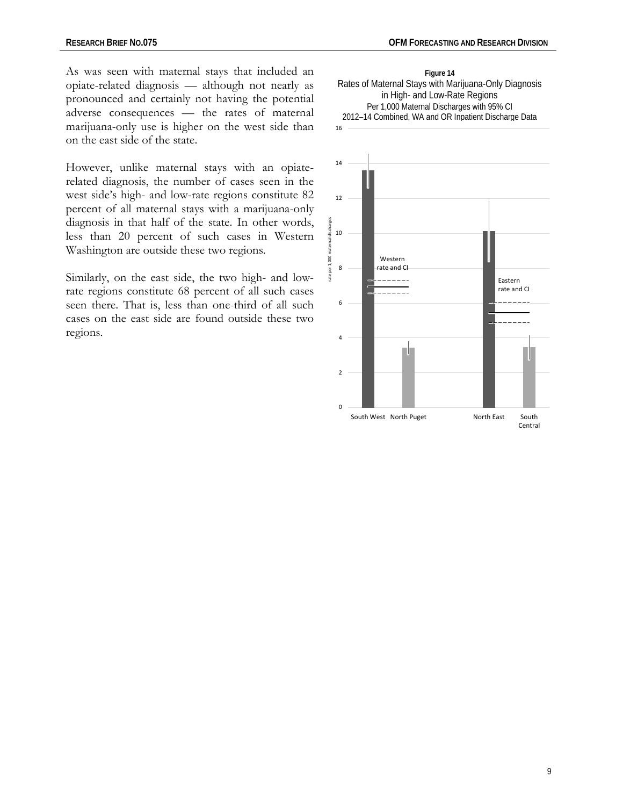As was seen with maternal stays that included an opiate-related diagnosis — although not nearly as pronounced and certainly not having the potential adverse consequences — the rates of maternal marijuana-only use is higher on the west side than on the east side of the state.

However, unlike maternal stays with an opiaterelated diagnosis, the number of cases seen in the west side's high- and low-rate regions constitute 82 percent of all maternal stays with a marijuana-only diagnosis in that half of the state. In other words, less than 20 percent of such cases in Western Washington are outside these two regions.

Similarly, on the east side, the two high- and lowrate regions constitute 68 percent of all such cases seen there. That is, less than one-third of all such cases on the east side are found outside these two regions.



**Figure 14** Rates of Maternal Stays with Marijuana-Only Diagnosis in High- and Low-Rate Regions Per 1,000 Maternal Discharges with 95% CI 2012–14 Combined, WA and OR Inpatient Discharge Data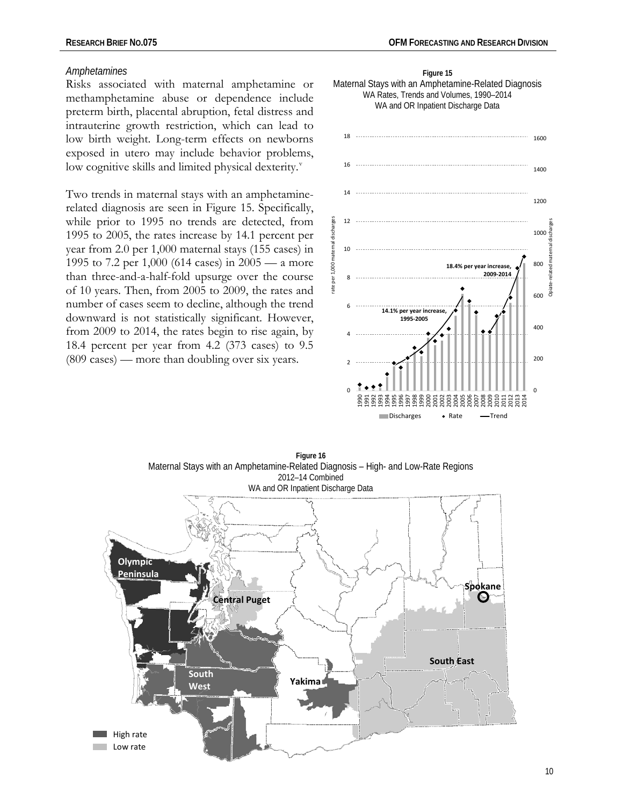#### *Amphetamines*

Risks associated with maternal amphetamine or methamphetamine abuse or dependence include preterm birth, placental abruption, fetal distress and intrauterine growth restriction, which can lead to low birth weight. Long-term effects on newborns exposed in utero may include behavior problems, low cogniti[v](#page-17-4)e skills and limited physical dexterity.<sup>v</sup>

Two trends in maternal stays with an amphetaminerelated diagnosis are seen in Figure 15. Specifically, while prior to 1995 no trends are detected, from 1995 to 2005, the rates increase by 14.1 percent per year from 2.0 per 1,000 maternal stays (155 cases) in 1995 to 7.2 per 1,000 (614 cases) in 2005 — a more than three-and-a-half-fold upsurge over the course of 10 years. Then, from 2005 to 2009, the rates and number of cases seem to decline, although the trend downward is not statistically significant. However, from 2009 to 2014, the rates begin to rise again, by 18.4 percent per year from 4.2 (373 cases) to 9.5 (809 cases) — more than doubling over six years.





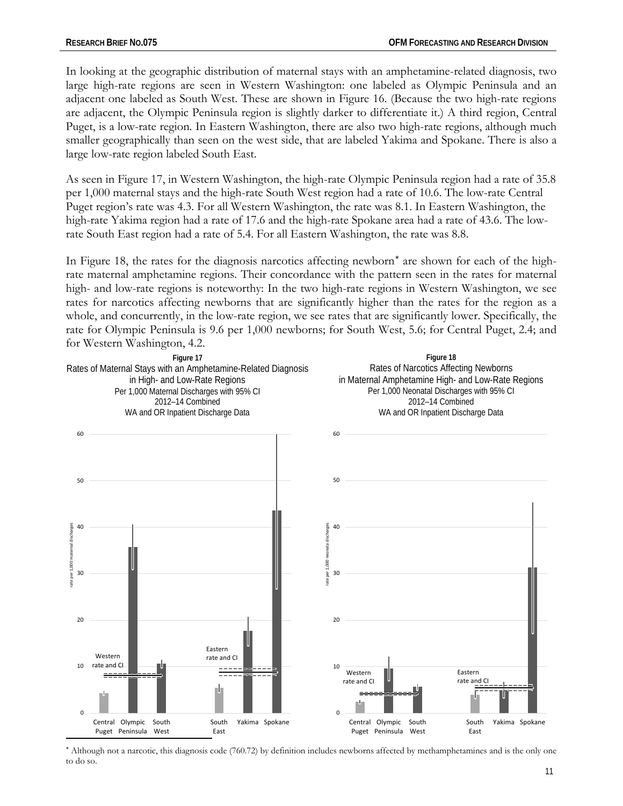In looking at the geographic distribution of maternal stays with an amphetamine-related diagnosis, two large high-rate regions are seen in Western Washington: one labeled as Olympic Peninsula and an adjacent one labeled as South West. These are shown in Figure 16. (Because the two high-rate regions are adjacent, the Olympic Peninsula region is slightly darker to differentiate it.) A third region, Central Puget, is a low-rate region. In Eastern Washington, there are also two high-rate regions, although much smaller geographically than seen on the west side, that are labeled Yakima and Spokane. There is also a large low-rate region labeled South East.

As seen in Figure 17, in Western Washington, the high-rate Olympic Peninsula region had a rate of 35.8 per 1,000 maternal stays and the high-rate South West region had a rate of 10.6. The low-rate Central Puget region's rate was 4.3. For all Western Washington, the rate was 8.1. In Eastern Washington, the high-rate Yakima region had a rate of 17.6 and the high-rate Spokane area had a rate of 43.6. The lowrate South East region had a rate of 5.4. For all Eastern Washington, the rate was 8.8.

In Figure 18, the rates for the diagnosis narcotics affecting newborn[∗](#page-10-0) are shown for each of the highrate maternal amphetamine regions. Their concordance with the pattern seen in the rates for maternal high- and low-rate regions is noteworthy: In the two high-rate regions in Western Washington, we see rates for narcotics affecting newborns that are significantly higher than the rates for the region as a whole, and concurrently, in the low-rate region, we see rates that are significantly lower. Specifically, the rate for Olympic Peninsula is 9.6 per 1,000 newborns; for South West, 5.6; for Central Puget, 2.4; and for Western Washington, 4.2.



<span id="page-10-0"></span><sup>∗</sup> Although not a narcotic, this diagnosis code (760.72) by definition includes newborns affected by methamphetamines and is the only one to do so.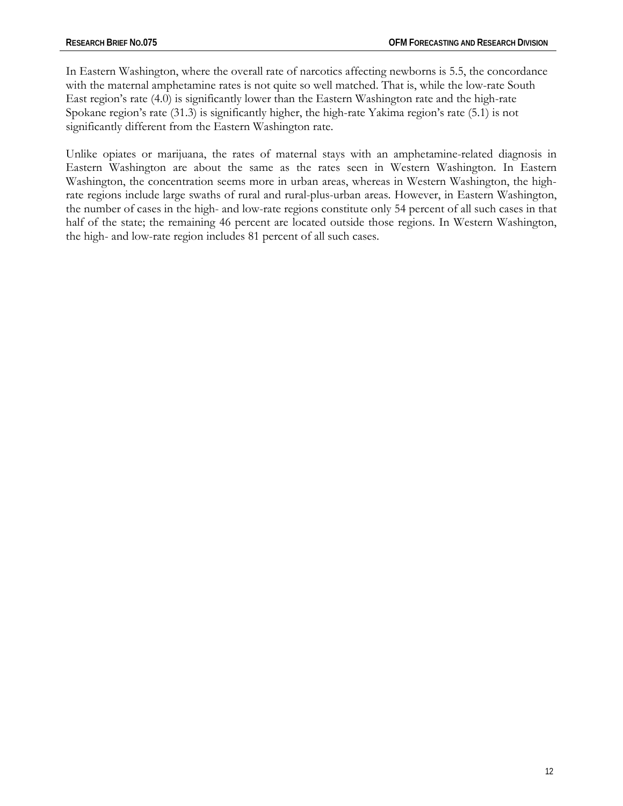In Eastern Washington, where the overall rate of narcotics affecting newborns is 5.5, the concordance with the maternal amphetamine rates is not quite so well matched. That is, while the low-rate South East region's rate (4.0) is significantly lower than the Eastern Washington rate and the high-rate Spokane region's rate (31.3) is significantly higher, the high-rate Yakima region's rate (5.1) is not significantly different from the Eastern Washington rate.

Unlike opiates or marijuana, the rates of maternal stays with an amphetamine-related diagnosis in Eastern Washington are about the same as the rates seen in Western Washington. In Eastern Washington, the concentration seems more in urban areas, whereas in Western Washington, the highrate regions include large swaths of rural and rural-plus-urban areas. However, in Eastern Washington, the number of cases in the high- and low-rate regions constitute only 54 percent of all such cases in that half of the state; the remaining 46 percent are located outside those regions. In Western Washington, the high- and low-rate region includes 81 percent of all such cases.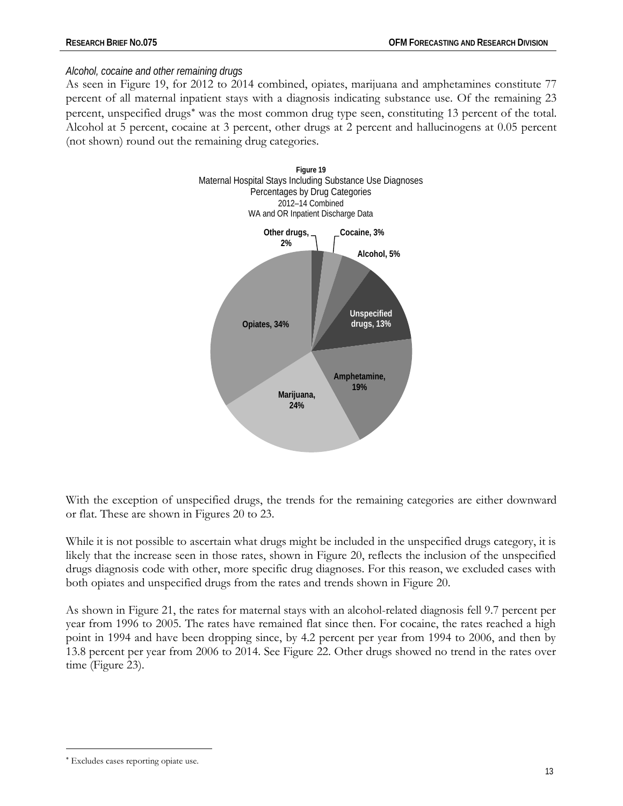## *Alcohol, cocaine and other remaining drugs*

As seen in Figure 19, for 2012 to 2014 combined, opiates, marijuana and amphetamines constitute 77 percent of all maternal inpatient stays with a diagnosis indicating substance use. Of the remaining 23 percent, unspecified drugs<sup>[∗](#page-12-0)</sup> was the most common drug type seen, constituting 13 percent of the total. Alcohol at 5 percent, cocaine at 3 percent, other drugs at 2 percent and hallucinogens at 0.05 percent (not shown) round out the remaining drug categories.



With the exception of unspecified drugs, the trends for the remaining categories are either downward or flat. These are shown in Figures 20 to 23.

While it is not possible to ascertain what drugs might be included in the unspecified drugs category, it is likely that the increase seen in those rates, shown in Figure 20, reflects the inclusion of the unspecified drugs diagnosis code with other, more specific drug diagnoses. For this reason, we excluded cases with both opiates and unspecified drugs from the rates and trends shown in Figure 20.

As shown in Figure 21, the rates for maternal stays with an alcohol-related diagnosis fell 9.7 percent per year from 1996 to 2005. The rates have remained flat since then. For cocaine, the rates reached a high point in 1994 and have been dropping since, by 4.2 percent per year from 1994 to 2006, and then by 13.8 percent per year from 2006 to 2014. See Figure 22. Other drugs showed no trend in the rates over time (Figure 23).

 $\overline{a}$ 

<span id="page-12-0"></span><sup>∗</sup> Excludes cases reporting opiate use.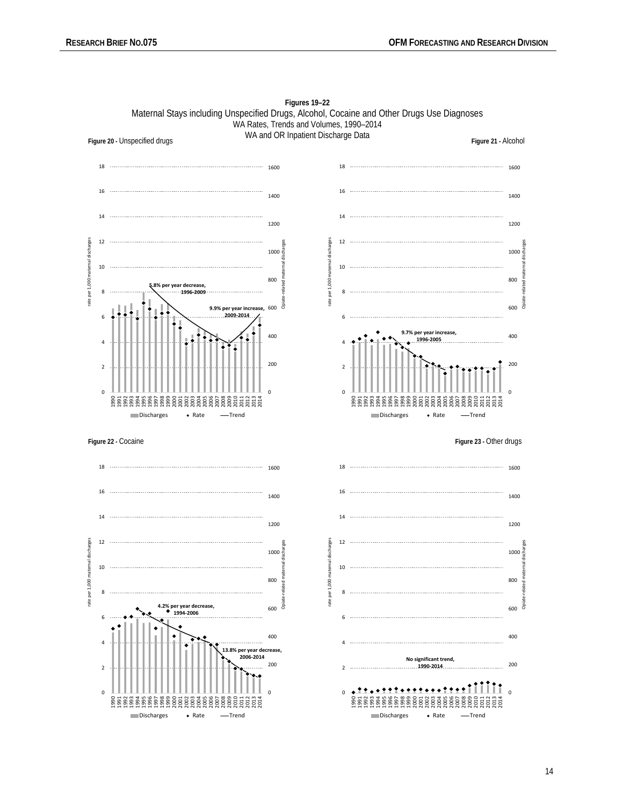

**Figures 19–22** Maternal Stays including Unspecified Drugs, Alcohol, Cocaine and Other Drugs Use Diagnoses WA Rates, Trends and Volumes, 1990–2014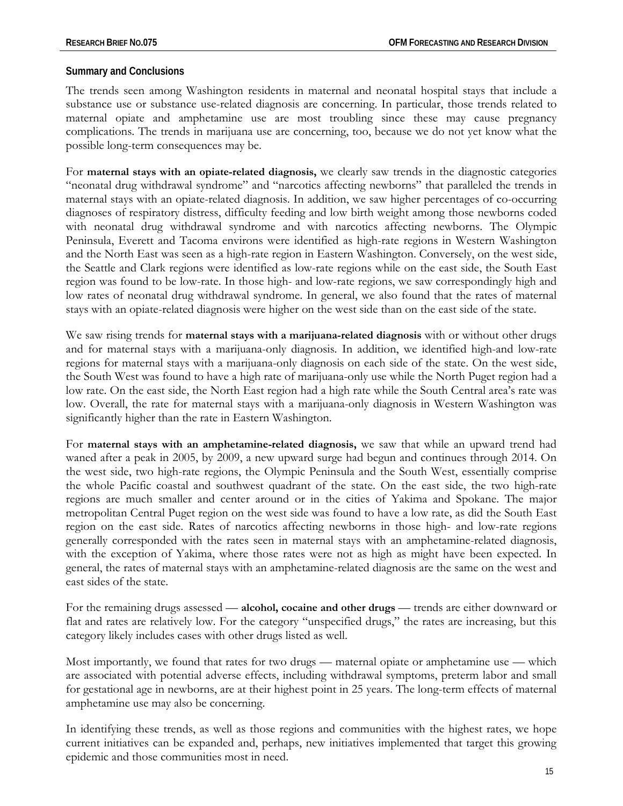#### **Summary and Conclusions**

The trends seen among Washington residents in maternal and neonatal hospital stays that include a substance use or substance use-related diagnosis are concerning. In particular, those trends related to maternal opiate and amphetamine use are most troubling since these may cause pregnancy complications. The trends in marijuana use are concerning, too, because we do not yet know what the possible long-term consequences may be.

For **maternal stays with an opiate-related diagnosis,** we clearly saw trends in the diagnostic categories "neonatal drug withdrawal syndrome" and "narcotics affecting newborns" that paralleled the trends in maternal stays with an opiate-related diagnosis. In addition, we saw higher percentages of co-occurring diagnoses of respiratory distress, difficulty feeding and low birth weight among those newborns coded with neonatal drug withdrawal syndrome and with narcotics affecting newborns. The Olympic Peninsula, Everett and Tacoma environs were identified as high-rate regions in Western Washington and the North East was seen as a high-rate region in Eastern Washington. Conversely, on the west side, the Seattle and Clark regions were identified as low-rate regions while on the east side, the South East region was found to be low-rate. In those high- and low-rate regions, we saw correspondingly high and low rates of neonatal drug withdrawal syndrome. In general, we also found that the rates of maternal stays with an opiate-related diagnosis were higher on the west side than on the east side of the state.

We saw rising trends for **maternal stays with a marijuana-related diagnosis** with or without other drugs and for maternal stays with a marijuana-only diagnosis. In addition, we identified high-and low-rate regions for maternal stays with a marijuana-only diagnosis on each side of the state. On the west side, the South West was found to have a high rate of marijuana-only use while the North Puget region had a low rate. On the east side, the North East region had a high rate while the South Central area's rate was low. Overall, the rate for maternal stays with a marijuana-only diagnosis in Western Washington was significantly higher than the rate in Eastern Washington.

For **maternal stays with an amphetamine-related diagnosis,** we saw that while an upward trend had waned after a peak in 2005, by 2009, a new upward surge had begun and continues through 2014. On the west side, two high-rate regions, the Olympic Peninsula and the South West, essentially comprise the whole Pacific coastal and southwest quadrant of the state. On the east side, the two high-rate regions are much smaller and center around or in the cities of Yakima and Spokane. The major metropolitan Central Puget region on the west side was found to have a low rate, as did the South East region on the east side. Rates of narcotics affecting newborns in those high- and low-rate regions generally corresponded with the rates seen in maternal stays with an amphetamine-related diagnosis, with the exception of Yakima, where those rates were not as high as might have been expected. In general, the rates of maternal stays with an amphetamine-related diagnosis are the same on the west and east sides of the state.

For the remaining drugs assessed — **alcohol, cocaine and other drugs** — trends are either downward or flat and rates are relatively low. For the category "unspecified drugs," the rates are increasing, but this category likely includes cases with other drugs listed as well.

Most importantly, we found that rates for two drugs — maternal opiate or amphetamine use — which are associated with potential adverse effects, including withdrawal symptoms, preterm labor and small for gestational age in newborns, are at their highest point in 25 years. The long-term effects of maternal amphetamine use may also be concerning.

In identifying these trends, as well as those regions and communities with the highest rates, we hope current initiatives can be expanded and, perhaps, new initiatives implemented that target this growing epidemic and those communities most in need.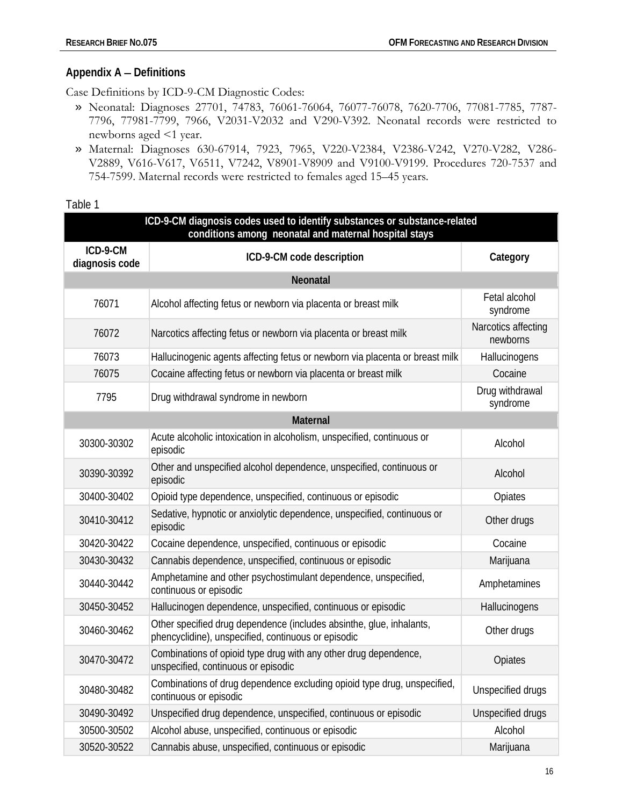## **Appendix A** − **Definitions**

Case Definitions by ICD-9-CM Diagnostic Codes:

- » Neonatal: Diagnoses 27701, 74783, 76061-76064, 76077-76078, 7620-7706, 77081-7785, 7787- 7796, 77981-7799, 7966, V2031-V2032 and V290-V392. Neonatal records were restricted to newborns aged <1 year.
- » Maternal: Diagnoses 630-67914, 7923, 7965, V220-V2384, V2386-V242, V270-V282, V286- V2889, V616-V617, V6511, V7242, V8901-V8909 and V9100-V9199. Procedures 720-7537 and 754-7599. Maternal records were restricted to females aged 15–45 years.

Table 1

| ICD-9-CM diagnosis codes used to identify substances or substance-related<br>conditions among neonatal and maternal hospital stays |                                                                                                                             |                                 |  |  |
|------------------------------------------------------------------------------------------------------------------------------------|-----------------------------------------------------------------------------------------------------------------------------|---------------------------------|--|--|
| ICD-9-CM<br>diagnosis code                                                                                                         | ICD-9-CM code description                                                                                                   | Category                        |  |  |
|                                                                                                                                    | Neonatal                                                                                                                    |                                 |  |  |
| 76071                                                                                                                              | Alcohol affecting fetus or newborn via placenta or breast milk                                                              | Fetal alcohol<br>syndrome       |  |  |
| 76072                                                                                                                              | Narcotics affecting fetus or newborn via placenta or breast milk                                                            | Narcotics affecting<br>newborns |  |  |
| 76073                                                                                                                              | Hallucinogenic agents affecting fetus or newborn via placenta or breast milk                                                | Hallucinogens                   |  |  |
| 76075                                                                                                                              | Cocaine affecting fetus or newborn via placenta or breast milk                                                              | Cocaine                         |  |  |
| 7795                                                                                                                               | Drug withdrawal syndrome in newborn                                                                                         | Drug withdrawal<br>syndrome     |  |  |
| <b>Maternal</b>                                                                                                                    |                                                                                                                             |                                 |  |  |
| 30300-30302                                                                                                                        | Acute alcoholic intoxication in alcoholism, unspecified, continuous or<br>episodic                                          | Alcohol                         |  |  |
| 30390-30392                                                                                                                        | Other and unspecified alcohol dependence, unspecified, continuous or<br>episodic                                            | Alcohol                         |  |  |
| 30400-30402                                                                                                                        | Opioid type dependence, unspecified, continuous or episodic                                                                 | Opiates                         |  |  |
| 30410-30412                                                                                                                        | Sedative, hypnotic or anxiolytic dependence, unspecified, continuous or<br>episodic                                         | Other drugs                     |  |  |
| 30420-30422                                                                                                                        | Cocaine dependence, unspecified, continuous or episodic                                                                     | Cocaine                         |  |  |
| 30430-30432                                                                                                                        | Cannabis dependence, unspecified, continuous or episodic                                                                    | Marijuana                       |  |  |
| 30440-30442                                                                                                                        | Amphetamine and other psychostimulant dependence, unspecified,<br>continuous or episodic                                    | Amphetamines                    |  |  |
| 30450-30452                                                                                                                        | Hallucinogen dependence, unspecified, continuous or episodic                                                                | Hallucinogens                   |  |  |
| 30460-30462                                                                                                                        | Other specified drug dependence (includes absinthe, glue, inhalants,<br>phencyclidine), unspecified, continuous or episodic | Other drugs                     |  |  |
| 30470-30472                                                                                                                        | Combinations of opioid type drug with any other drug dependence,<br>unspecified, continuous or episodic                     | Opiates                         |  |  |
| 30480-30482                                                                                                                        | Combinations of drug dependence excluding opioid type drug, unspecified,<br>continuous or episodic                          | Unspecified drugs               |  |  |
| 30490-30492                                                                                                                        | Unspecified drug dependence, unspecified, continuous or episodic                                                            | Unspecified drugs               |  |  |
| 30500-30502                                                                                                                        | Alcohol abuse, unspecified, continuous or episodic                                                                          | Alcohol                         |  |  |
| 30520-30522                                                                                                                        | Cannabis abuse, unspecified, continuous or episodic                                                                         | Marijuana                       |  |  |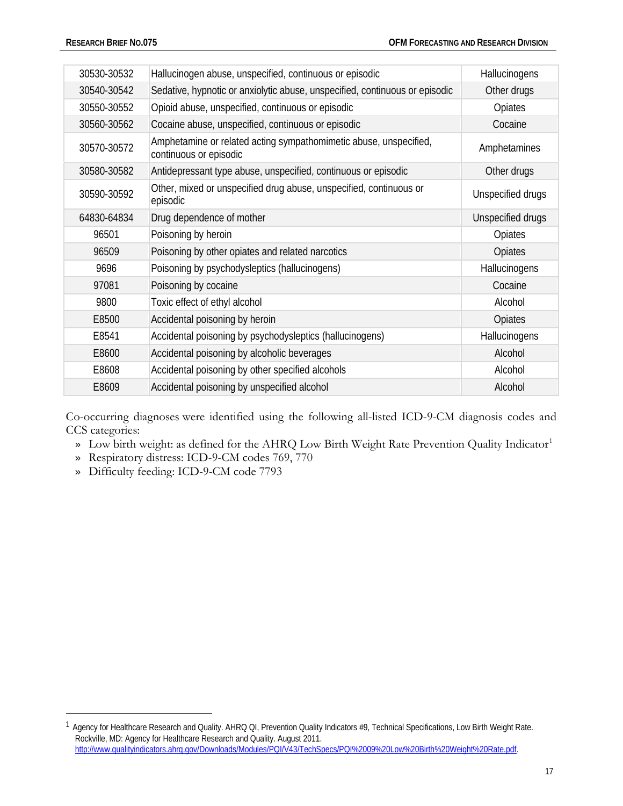| 30530-30532 | Hallucinogen abuse, unspecified, continuous or episodic                                     | Hallucinogens     |
|-------------|---------------------------------------------------------------------------------------------|-------------------|
| 30540-30542 | Sedative, hypnotic or anxiolytic abuse, unspecified, continuous or episodic                 | Other drugs       |
| 30550-30552 | Opioid abuse, unspecified, continuous or episodic                                           | Opiates           |
| 30560-30562 | Cocaine abuse, unspecified, continuous or episodic                                          | Cocaine           |
| 30570-30572 | Amphetamine or related acting sympathomimetic abuse, unspecified,<br>continuous or episodic | Amphetamines      |
| 30580-30582 | Antidepressant type abuse, unspecified, continuous or episodic                              | Other drugs       |
| 30590-30592 | Other, mixed or unspecified drug abuse, unspecified, continuous or<br>episodic              | Unspecified drugs |
| 64830-64834 | Drug dependence of mother                                                                   | Unspecified drugs |
| 96501       | Poisoning by heroin                                                                         | Opiates           |
| 96509       | Poisoning by other opiates and related narcotics                                            | Opiates           |
| 9696        | Poisoning by psychodysleptics (hallucinogens)                                               | Hallucinogens     |
| 97081       | Poisoning by cocaine                                                                        | Cocaine           |
| 9800        | Toxic effect of ethyl alcohol                                                               | Alcohol           |
| E8500       | Accidental poisoning by heroin                                                              | Opiates           |
| E8541       | Accidental poisoning by psychodysleptics (hallucinogens)                                    | Hallucinogens     |
| E8600       | Accidental poisoning by alcoholic beverages                                                 | Alcohol           |
| E8608       | Accidental poisoning by other specified alcohols                                            | Alcohol           |
| E8609       | Accidental poisoning by unspecified alcohol                                                 | Alcohol           |

Co-occurring diagnoses were identified using the following all-listed ICD-9-CM diagnosis codes and CCS categories:

- » Low birth weight: as defined for the AHRQ Low Birth Weight Rate Prevention Quality Indicator<sup>[1](#page-16-0)</sup>
- » Respiratory distress: ICD-9-CM codes 769, 770
- » Difficulty feeding: ICD-9-CM code 7793

 $\overline{a}$ 

<span id="page-16-0"></span><sup>&</sup>lt;sup>1</sup> Agency for Healthcare Research and Quality. AHRQ QI, Prevention Quality Indicators #9, Technical Specifications, Low Birth Weight Rate. Rockville, MD: Agency for Healthcare Research and Quality. August 2011. [http://www.qualityindicators.ahrq.gov/Downloads/Modules/PQI/V43/TechSpecs/PQI%2009%20Low%20Birth%20Weight%20Rate.pdf.](http://www.qualityindicators.ahrq.gov/Downloads/Modules/PQI/V43/TechSpecs/PQI%2009%20Low%20Birth%20Weight%20Rate.pdf)